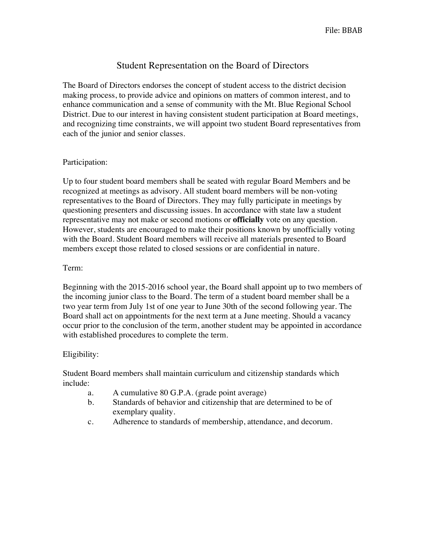## Student Representation on the Board of Directors

The Board of Directors endorses the concept of student access to the district decision making process, to provide advice and opinions on matters of common interest, and to enhance communication and a sense of community with the Mt. Blue Regional School District. Due to our interest in having consistent student participation at Board meetings, and recognizing time constraints, we will appoint two student Board representatives from each of the junior and senior classes.

## Participation:

Up to four student board members shall be seated with regular Board Members and be recognized at meetings as advisory. All student board members will be non-voting representatives to the Board of Directors. They may fully participate in meetings by questioning presenters and discussing issues. In accordance with state law a student representative may not make or second motions or **officially** vote on any question. However, students are encouraged to make their positions known by unofficially voting with the Board. Student Board members will receive all materials presented to Board members except those related to closed sessions or are confidential in nature.

## Term:

Beginning with the 2015-2016 school year, the Board shall appoint up to two members of the incoming junior class to the Board. The term of a student board member shall be a two year term from July 1st of one year to June 30th of the second following year. The Board shall act on appointments for the next term at a June meeting. Should a vacancy occur prior to the conclusion of the term, another student may be appointed in accordance with established procedures to complete the term.

## Eligibility:

Student Board members shall maintain curriculum and citizenship standards which include:

- a. A cumulative 80 G.P.A. (grade point average)
- b. Standards of behavior and citizenship that are determined to be of exemplary quality.
- c. Adherence to standards of membership, attendance, and decorum.